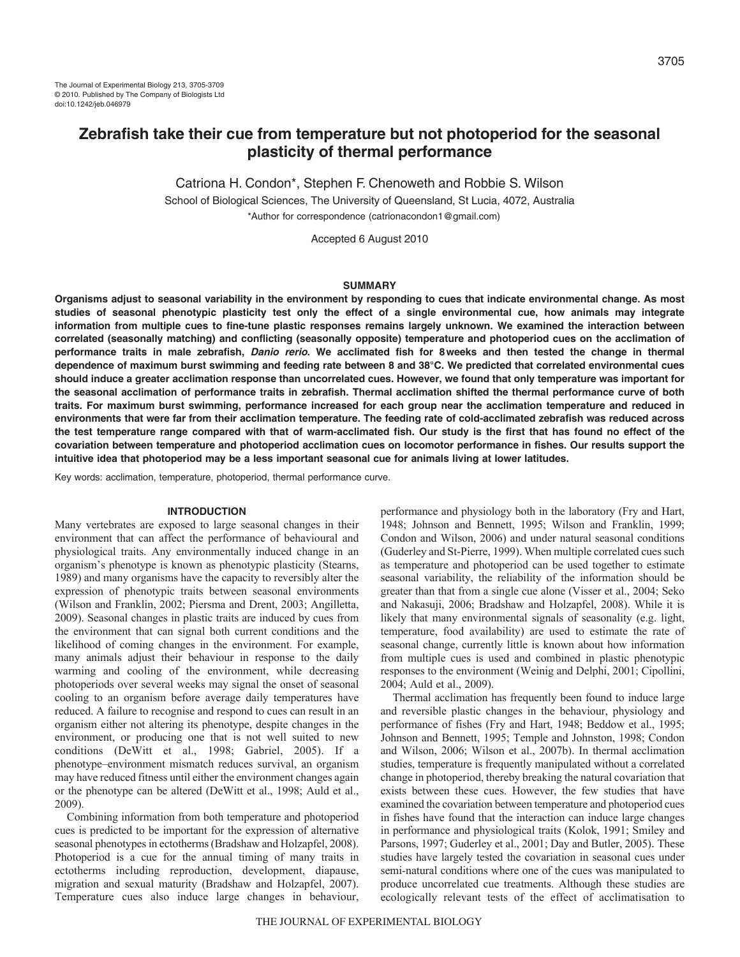# **Zebrafish take their cue from temperature but not photoperiod for the seasonal plasticity of thermal performance**

Catriona H. Condon\*, Stephen F. Chenoweth and Robbie S. Wilson

School of Biological Sciences, The University of Queensland, St Lucia, 4072, Australia \*Author for correspondence (catrionacondon1@gmail.com)

Accepted 6 August 2010

#### **SUMMARY**

**Organisms adjust to seasonal variability in the environment by responding to cues that indicate environmental change. As most studies of seasonal phenotypic plasticity test only the effect of a single environmental cue, how animals may integrate information from multiple cues to fine-tune plastic responses remains largely unknown. We examined the interaction between correlated (seasonally matching) and conflicting (seasonally opposite) temperature and photoperiod cues on the acclimation of performance traits in male zebrafish, Danio rerio. We acclimated fish for 8weeks and then tested the change in thermal dependence of maximum burst swimming and feeding rate between 8 and 38°C. We predicted that correlated environmental cues should induce a greater acclimation response than uncorrelated cues. However, we found that only temperature was important for the seasonal acclimation of performance traits in zebrafish. Thermal acclimation shifted the thermal performance curve of both traits. For maximum burst swimming, performance increased for each group near the acclimation temperature and reduced in environments that were far from their acclimation temperature. The feeding rate of cold-acclimated zebrafish was reduced across the test temperature range compared with that of warm-acclimated fish. Our study is the first that has found no effect of the covariation between temperature and photoperiod acclimation cues on locomotor performance in fishes. Our results support the intuitive idea that photoperiod may be a less important seasonal cue for animals living at lower latitudes.**

Key words: acclimation, temperature, photoperiod, thermal performance curve.

## **INTRODUCTION**

Many vertebrates are exposed to large seasonal changes in their environment that can affect the performance of behavioural and physiological traits. Any environmentally induced change in an organism's phenotype is known as phenotypic plasticity (Stearns, 1989) and many organisms have the capacity to reversibly alter the expression of phenotypic traits between seasonal environments (Wilson and Franklin, 2002; Piersma and Drent, 2003; Angilletta, 2009). Seasonal changes in plastic traits are induced by cues from the environment that can signal both current conditions and the likelihood of coming changes in the environment. For example, many animals adjust their behaviour in response to the daily warming and cooling of the environment, while decreasing photoperiods over several weeks may signal the onset of seasonal cooling to an organism before average daily temperatures have reduced. A failure to recognise and respond to cues can result in an organism either not altering its phenotype, despite changes in the environment, or producing one that is not well suited to new conditions (DeWitt et al., 1998; Gabriel, 2005). If a phenotype–environment mismatch reduces survival, an organism may have reduced fitness until either the environment changes again or the phenotype can be altered (DeWitt et al., 1998; Auld et al., 2009).

Combining information from both temperature and photoperiod cues is predicted to be important for the expression of alternative seasonal phenotypes in ectotherms (Bradshaw and Holzapfel, 2008). Photoperiod is a cue for the annual timing of many traits in ectotherms including reproduction, development, diapause, migration and sexual maturity (Bradshaw and Holzapfel, 2007). Temperature cues also induce large changes in behaviour,

performance and physiology both in the laboratory (Fry and Hart, 1948; Johnson and Bennett, 1995; Wilson and Franklin, 1999; Condon and Wilson, 2006) and under natural seasonal conditions (Guderley and St-Pierre, 1999). When multiple correlated cues such as temperature and photoperiod can be used together to estimate seasonal variability, the reliability of the information should be greater than that from a single cue alone (Visser et al., 2004; Seko and Nakasuji, 2006; Bradshaw and Holzapfel, 2008). While it is likely that many environmental signals of seasonality (e.g. light, temperature, food availability) are used to estimate the rate of seasonal change, currently little is known about how information from multiple cues is used and combined in plastic phenotypic responses to the environment (Weinig and Delphi, 2001; Cipollini, 2004; Auld et al., 2009).

Thermal acclimation has frequently been found to induce large and reversible plastic changes in the behaviour, physiology and performance of fishes (Fry and Hart, 1948; Beddow et al., 1995; Johnson and Bennett, 1995; Temple and Johnston, 1998; Condon and Wilson, 2006; Wilson et al., 2007b). In thermal acclimation studies, temperature is frequently manipulated without a correlated change in photoperiod, thereby breaking the natural covariation that exists between these cues. However, the few studies that have examined the covariation between temperature and photoperiod cues in fishes have found that the interaction can induce large changes in performance and physiological traits (Kolok, 1991; Smiley and Parsons, 1997; Guderley et al., 2001; Day and Butler, 2005). These studies have largely tested the covariation in seasonal cues under semi-natural conditions where one of the cues was manipulated to produce uncorrelated cue treatments. Although these studies are ecologically relevant tests of the effect of acclimatisation to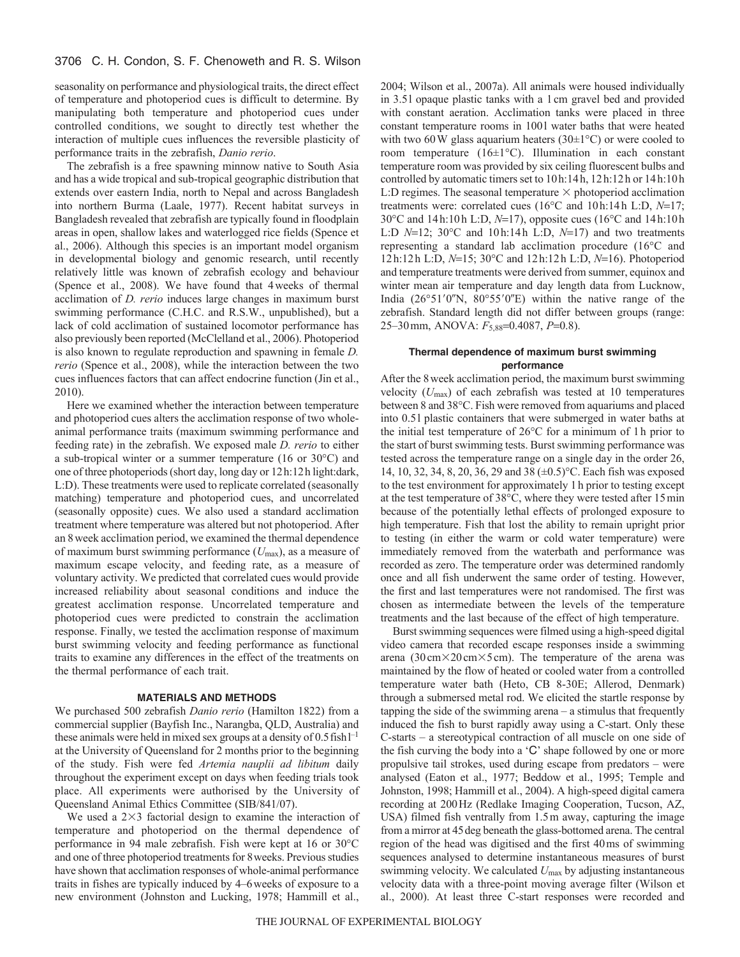seasonality on performance and physiological traits, the direct effect of temperature and photoperiod cues is difficult to determine. By manipulating both temperature and photoperiod cues under controlled conditions, we sought to directly test whether the interaction of multiple cues influences the reversible plasticity of performance traits in the zebrafish, *Danio rerio*.

The zebrafish is a free spawning minnow native to South Asia and has a wide tropical and sub-tropical geographic distribution that extends over eastern India, north to Nepal and across Bangladesh into northern Burma (Laale, 1977). Recent habitat surveys in Bangladesh revealed that zebrafish are typically found in floodplain areas in open, shallow lakes and waterlogged rice fields (Spence et al., 2006). Although this species is an important model organism in developmental biology and genomic research, until recently relatively little was known of zebrafish ecology and behaviour (Spence et al., 2008). We have found that 4weeks of thermal acclimation of *D. rerio* induces large changes in maximum burst swimming performance (C.H.C. and R.S.W., unpublished), but a lack of cold acclimation of sustained locomotor performance has also previously been reported (McClelland et al., 2006). Photoperiod is also known to regulate reproduction and spawning in female *D. rerio* (Spence et al., 2008), while the interaction between the two cues influences factors that can affect endocrine function (Jin et al., 2010).

Here we examined whether the interaction between temperature and photoperiod cues alters the acclimation response of two wholeanimal performance traits (maximum swimming performance and feeding rate) in the zebrafish. We exposed male *D. rerio* to either a sub-tropical winter or a summer temperature (16 or 30°C) and one of three photoperiods (short day, long day or 12h:12h light:dark, L:D). These treatments were used to replicate correlated (seasonally matching) temperature and photoperiod cues, and uncorrelated (seasonally opposite) cues. We also used a standard acclimation treatment where temperature was altered but not photoperiod. After an 8week acclimation period, we examined the thermal dependence of maximum burst swimming performance (*U*max), as a measure of maximum escape velocity, and feeding rate, as a measure of voluntary activity. We predicted that correlated cues would provide increased reliability about seasonal conditions and induce the greatest acclimation response. Uncorrelated temperature and photoperiod cues were predicted to constrain the acclimation response. Finally, we tested the acclimation response of maximum burst swimming velocity and feeding performance as functional traits to examine any differences in the effect of the treatments on the thermal performance of each trait.

#### **MATERIALS AND METHODS**

We purchased 500 zebrafish *Danio rerio* (Hamilton 1822) from a commercial supplier (Bayfish Inc., Narangba, QLD, Australia) and these animals were held in mixed sex groups at a density of  $0.5$  fish  $l^{-1}$ at the University of Queensland for 2 months prior to the beginning of the study. Fish were fed *Artemia nauplii ad libitum* daily throughout the experiment except on days when feeding trials took place. All experiments were authorised by the University of Queensland Animal Ethics Committee (SIB/841/07).

We used a  $2\times3$  factorial design to examine the interaction of temperature and photoperiod on the thermal dependence of performance in 94 male zebrafish. Fish were kept at 16 or 30°C and one of three photoperiod treatments for 8weeks. Previous studies have shown that acclimation responses of whole-animal performance traits in fishes are typically induced by 4–6weeks of exposure to a new environment (Johnston and Lucking, 1978; Hammill et al.,

2004; Wilson et al., 2007a). All animals were housed individually in 3.5l opaque plastic tanks with a 1cm gravel bed and provided with constant aeration. Acclimation tanks were placed in three constant temperature rooms in 100l water baths that were heated with two 60 W glass aquarium heaters (30 $\pm$ 1 $\degree$ C) or were cooled to room temperature (16±1°C). Illumination in each constant temperature room was provided by six ceiling fluorescent bulbs and controlled by automatic timers set to 10h:14h, 12h:12h or 14h:10h L:D regimes. The seasonal temperature  $\times$  photoperiod acclimation treatments were: correlated cues ( $16^{\circ}$ C and  $10h:14h$  L:D,  $N=17$ ; 30°C and 14h:10h L:D, *N*=17), opposite cues (16°C and 14h:10h L:D  $N=12$ ; 30°C and 10h:14h L:D,  $N=17$ ) and two treatments representing a standard lab acclimation procedure (16°C and 12h:12h L:D,  $N=15$ ; 30°C and 12h:12h L:D,  $N=16$ ). Photoperiod and temperature treatments were derived from summer, equinox and winter mean air temperature and day length data from Lucknow, India  $(26°51'0''N, 80°55'0''E)$  within the native range of the zebrafish. Standard length did not differ between groups (range: 25–30 mm, ANOVA:  $F_{5,88}$ =0.4087, *P*=0.8).

## **Thermal dependence of maximum burst swimming performance**

After the 8week acclimation period, the maximum burst swimming velocity (*U*max) of each zebrafish was tested at 10 temperatures between 8 and 38°C. Fish were removed from aquariums and placed into 0.5l plastic containers that were submerged in water baths at the initial test temperature of 26°C for a minimum of 1h prior to the start of burst swimming tests. Burst swimming performance was tested across the temperature range on a single day in the order 26, 14, 10, 32, 34, 8, 20, 36, 29 and 38 (±0.5)°C. Each fish was exposed to the test environment for approximately 1h prior to testing except at the test temperature of 38°C, where they were tested after 15min because of the potentially lethal effects of prolonged exposure to high temperature. Fish that lost the ability to remain upright prior to testing (in either the warm or cold water temperature) were immediately removed from the waterbath and performance was recorded as zero. The temperature order was determined randomly once and all fish underwent the same order of testing. However, the first and last temperatures were not randomised. The first was chosen as intermediate between the levels of the temperature treatments and the last because of the effect of high temperature.

Burst swimming sequences were filmed using a high-speed digital video camera that recorded escape responses inside a swimming arena (30 cm × 20 cm × 5 cm). The temperature of the arena was maintained by the flow of heated or cooled water from a controlled temperature water bath (Heto, CB 8-30E; Allerod, Denmark) through a submersed metal rod. We elicited the startle response by tapping the side of the swimming arena – a stimulus that frequently induced the fish to burst rapidly away using a C-start. Only these C-starts – a stereotypical contraction of all muscle on one side of the fish curving the body into a 'C' shape followed by one or more propulsive tail strokes, used during escape from predators – were analysed (Eaton et al., 1977; Beddow et al., 1995; Temple and Johnston, 1998; Hammill et al., 2004). A high-speed digital camera recording at 200Hz (Redlake Imaging Cooperation, Tucson, AZ, USA) filmed fish ventrally from 1.5m away, capturing the image from a mirror at 45deg beneath the glass-bottomed arena. The central region of the head was digitised and the first 40ms of swimming sequences analysed to determine instantaneous measures of burst swimming velocity. We calculated *U*max by adjusting instantaneous velocity data with a three-point moving average filter (Wilson et al., 2000). At least three C-start responses were recorded and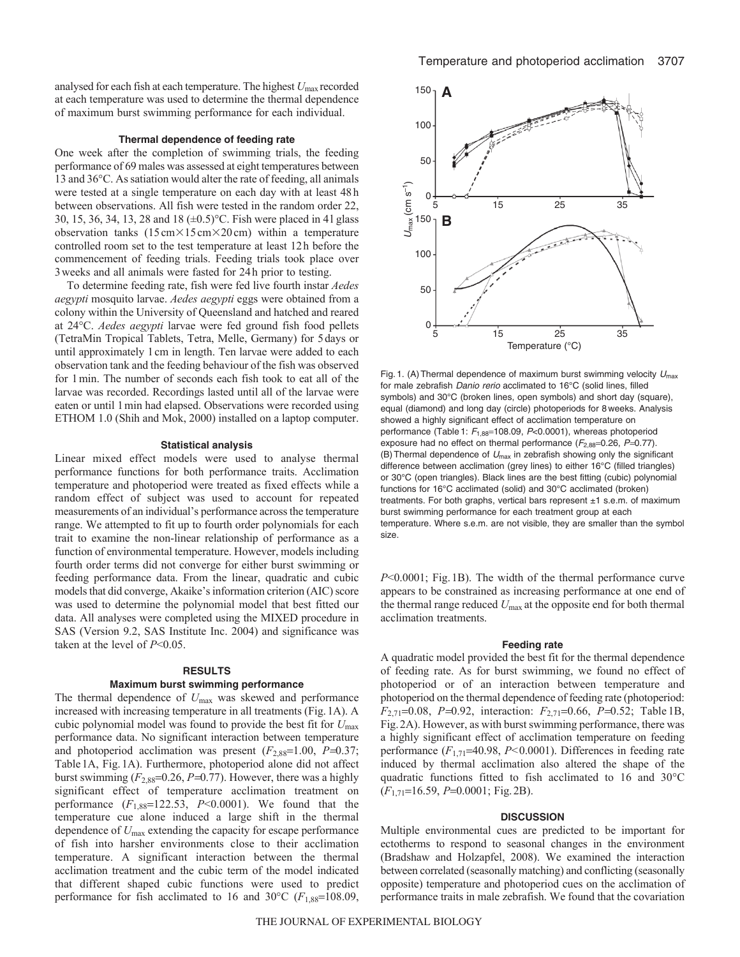analysed for each fish at each temperature. The highest *U*max recorded at each temperature was used to determine the thermal dependence of maximum burst swimming performance for each individual.

#### **Thermal dependence of feeding rate**

One week after the completion of swimming trials, the feeding performance of 69 males was assessed at eight temperatures between 13 and 36°C. As satiation would alter the rate of feeding, all animals were tested at a single temperature on each day with at least 48h between observations. All fish were tested in the random order 22, 30, 15, 36, 34, 13, 28 and 18 (±0.5)°C. Fish were placed in 4l glass observation tanks  $(15 \text{ cm} \times 15 \text{ cm} \times 20 \text{ cm})$  within a temperature controlled room set to the test temperature at least 12h before the commencement of feeding trials. Feeding trials took place over 3weeks and all animals were fasted for 24h prior to testing.

To determine feeding rate, fish were fed live fourth instar *Aedes aegypti* mosquito larvae. *Aedes aegypti* eggs were obtained from a colony within the University of Queensland and hatched and reared at 24°C. *Aedes aegypti* larvae were fed ground fish food pellets (TetraMin Tropical Tablets, Tetra, Melle, Germany) for 5days or until approximately 1cm in length. Ten larvae were added to each observation tank and the feeding behaviour of the fish was observed for 1min. The number of seconds each fish took to eat all of the larvae was recorded. Recordings lasted until all of the larvae were eaten or until 1min had elapsed. Observations were recorded using ETHOM 1.0 (Shih and Mok, 2000) installed on a laptop computer.

#### **Statistical analysis**

Linear mixed effect models were used to analyse thermal performance functions for both performance traits. Acclimation temperature and photoperiod were treated as fixed effects while a random effect of subject was used to account for repeated measurements of an individual's performance across the temperature range. We attempted to fit up to fourth order polynomials for each trait to examine the non-linear relationship of performance as a function of environmental temperature. However, models including fourth order terms did not converge for either burst swimming or feeding performance data. From the linear, quadratic and cubic models that did converge, Akaike's information criterion (AIC) score was used to determine the polynomial model that best fitted our data. All analyses were completed using the MIXED procedure in SAS (Version 9.2, SAS Institute Inc. 2004) and significance was taken at the level of *P*<0.05.

#### **RESULTS**

## **Maximum burst swimming performance**

The thermal dependence of *U*max was skewed and performance increased with increasing temperature in all treatments (Fig.1A). A cubic polynomial model was found to provide the best fit for *U*max performance data. No significant interaction between temperature and photoperiod acclimation was present  $(F_{2,88}=1.00, P=0.37;$ Table1A, Fig.1A). Furthermore, photoperiod alone did not affect burst swimming  $(F_{2,88}=0.26, P=0.77)$ . However, there was a highly significant effect of temperature acclimation treatment on performance  $(F_{1,88}=122.53, P<0.0001)$ . We found that the temperature cue alone induced a large shift in the thermal dependence of *U*max extending the capacity for escape performance of fish into harsher environments close to their acclimation temperature. A significant interaction between the thermal acclimation treatment and the cubic term of the model indicated that different shaped cubic functions were used to predict performance for fish acclimated to 16 and 30°C ( $F_{1,88}$ =108.09,



Fig. 1. (A) Thermal dependence of maximum burst swimming velocity  $U_{\text{max}}$ for male zebrafish Danio rerio acclimated to 16°C (solid lines, filled symbols) and 30°C (broken lines, open symbols) and short day (square), equal (diamond) and long day (circle) photoperiods for 8 weeks. Analysis showed a highly significant effect of acclimation temperature on performance (Table 1:  $F_{1,88}$ =108.09, P<0.0001), whereas photoperiod exposure had no effect on thermal performance  $(F_{2,88}=0.26, P=0.77)$ . (B) Thermal dependence of  $U_{\text{max}}$  in zebrafish showing only the significant difference between acclimation (grey lines) to either 16°C (filled triangles) or 30°C (open triangles). Black lines are the best fitting (cubic) polynomial functions for 16°C acclimated (solid) and 30°C acclimated (broken) treatments. For both graphs, vertical bars represent ±1 s.e.m. of maximum burst swimming performance for each treatment group at each temperature. Where s.e.m. are not visible, they are smaller than the symbol size.

*P*<0.0001; Fig.1B). The width of the thermal performance curve appears to be constrained as increasing performance at one end of the thermal range reduced *U*max at the opposite end for both thermal acclimation treatments.

#### **Feeding rate**

A quadratic model provided the best fit for the thermal dependence of feeding rate. As for burst swimming, we found no effect of photoperiod or of an interaction between temperature and photoperiod on the thermal dependence of feeding rate (photoperiod:  $F_{2,71}$ =0.08, *P*=0.92, interaction:  $F_{2,71}$ =0.66, *P*=0.52; Table 1B, Fig.2A). However, as with burst swimming performance, there was a highly significant effect of acclimation temperature on feeding performance  $(F_{1,71}$ =40.98,  $P<0.0001$ ). Differences in feeding rate induced by thermal acclimation also altered the shape of the quadratic functions fitted to fish acclimated to 16 and 30°C ( $F_{1,71}$ =16.59, *P*=0.0001; Fig. 2B).

#### **DISCUSSION**

Multiple environmental cues are predicted to be important for ectotherms to respond to seasonal changes in the environment (Bradshaw and Holzapfel, 2008). We examined the interaction between correlated (seasonally matching) and conflicting (seasonally opposite) temperature and photoperiod cues on the acclimation of performance traits in male zebrafish. We found that the covariation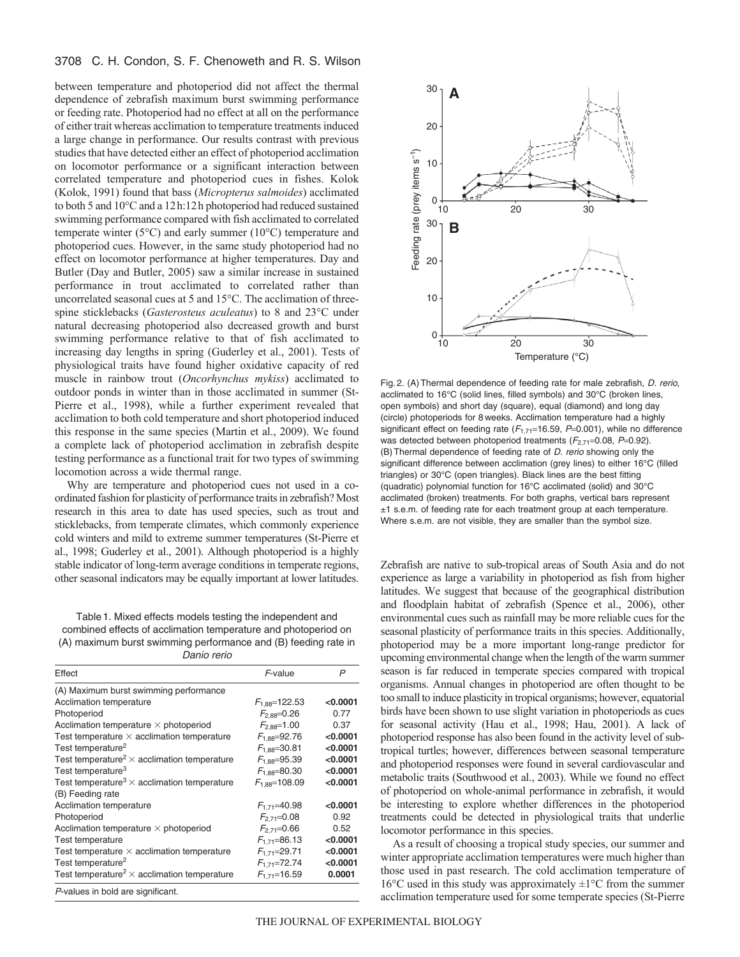# 3708 C. H. Condon, S. F. Chenoweth and R. S. Wilson

between temperature and photoperiod did not affect the thermal dependence of zebrafish maximum burst swimming performance or feeding rate. Photoperiod had no effect at all on the performance of either trait whereas acclimation to temperature treatments induced a large change in performance. Our results contrast with previous studies that have detected either an effect of photoperiod acclimation on locomotor performance or a significant interaction between correlated temperature and photoperiod cues in fishes. Kolok (Kolok, 1991) found that bass (*Micropterus salmoides*) acclimated to both 5 and 10°C and a 12h:12h photoperiod had reduced sustained swimming performance compared with fish acclimated to correlated temperate winter (5°C) and early summer (10°C) temperature and photoperiod cues. However, in the same study photoperiod had no effect on locomotor performance at higher temperatures. Day and Butler (Day and Butler, 2005) saw a similar increase in sustained performance in trout acclimated to correlated rather than uncorrelated seasonal cues at 5 and 15°C. The acclimation of threespine sticklebacks (*Gasterosteus aculeatus*) to 8 and 23°C under natural decreasing photoperiod also decreased growth and burst swimming performance relative to that of fish acclimated to increasing day lengths in spring (Guderley et al., 2001). Tests of physiological traits have found higher oxidative capacity of red muscle in rainbow trout (*Oncorhynchus mykiss*) acclimated to outdoor ponds in winter than in those acclimated in summer (St-Pierre et al., 1998), while a further experiment revealed that acclimation to both cold temperature and short photoperiod induced this response in the same species (Martin et al., 2009). We found a complete lack of photoperiod acclimation in zebrafish despite testing performance as a functional trait for two types of swimming locomotion across a wide thermal range.

Why are temperature and photoperiod cues not used in a coordinated fashion for plasticity of performance traits in zebrafish? Most research in this area to date has used species, such as trout and sticklebacks, from temperate climates, which commonly experience cold winters and mild to extreme summer temperatures (St-Pierre et al., 1998; Guderley et al., 2001). Although photoperiod is a highly stable indicator of long-term average conditions in temperate regions, other seasonal indicators may be equally important at lower latitudes.

Table 1. Mixed effects models testing the independent and combined effects of acclimation temperature and photoperiod on (A) maximum burst swimming performance and (B) feeding rate in Danio rerio

| Effect                                                         | F-value             | P          |
|----------------------------------------------------------------|---------------------|------------|
| (A) Maximum burst swimming performance                         |                     |            |
| Acclimation temperature                                        | $F_{1.88} = 122.53$ | $<$ 0.0001 |
| Photoperiod                                                    | $F_{2.88} = 0.26$   | 0.77       |
| Acclimation temperature $\times$ photoperiod                   | $F_{2.88} = 1.00$   | 0.37       |
| Test temperature $\times$ acclimation temperature              | $F_{1.88} = 92.76$  | < 0.0001   |
| Test temperature <sup>2</sup>                                  | $F_{1.88} = 30.81$  | < 0.0001   |
| Test temperature <sup>2</sup> $\times$ acclimation temperature | $F_{1.88} = 95.39$  | < 0.0001   |
| Test temperature <sup>3</sup>                                  | $F_{1.88} = 80.30$  | < 0.0001   |
| Test temperature <sup>3</sup> $\times$ acclimation temperature | $F_{1.88}$ =108.09  | < 0.0001   |
| (B) Feeding rate                                               |                     |            |
| Acclimation temperature                                        | $F_{1.71} = 40.98$  | $<$ 0.0001 |
| Photoperiod                                                    | $F_{2.71} = 0.08$   | 0.92       |
| Acclimation temperature $\times$ photoperiod                   | $F_{2.71} = 0.66$   | 0.52       |
| Test temperature                                               | $F_{1.71} = 86.13$  | < 0.0001   |
| Test temperature $\times$ acclimation temperature              | $F_{1.71} = 29.71$  | < 0.0001   |
| Test temperature <sup>2</sup>                                  | $F_{1.71}$ =72.74   | < 0.0001   |
| Test temperature <sup>2</sup> $\times$ acclimation temperature | $F_{1.71}$ =16.59   | 0.0001     |
| P-values in bold are significant.                              |                     |            |



Fig. 2. (A)Thermal dependence of feeding rate for male zebrafish, D. rerio, acclimated to 16°C (solid lines, filled symbols) and 30°C (broken lines, open symbols) and short day (square), equal (diamond) and long day (circle) photoperiods for 8 weeks. Acclimation temperature had a highly significant effect on feeding rate ( $F_{1,71}$ =16.59, P=0.001), while no difference was detected between photoperiod treatments  $(F_{2,71}=0.08, P=0.92)$ . (B)Thermal dependence of feeding rate of D. rerio showing only the significant difference between acclimation (grey lines) to either 16°C (filled triangles) or 30°C (open triangles). Black lines are the best fitting (quadratic) polynomial function for 16°C acclimated (solid) and 30°C acclimated (broken) treatments. For both graphs, vertical bars represent ±1 s.e.m. of feeding rate for each treatment group at each temperature. Where s.e.m. are not visible, they are smaller than the symbol size.

Zebrafish are native to sub-tropical areas of South Asia and do not experience as large a variability in photoperiod as fish from higher latitudes. We suggest that because of the geographical distribution and floodplain habitat of zebrafish (Spence et al., 2006), other environmental cues such as rainfall may be more reliable cues for the seasonal plasticity of performance traits in this species. Additionally, photoperiod may be a more important long-range predictor for upcoming environmental change when the length of the warm summer season is far reduced in temperate species compared with tropical organisms. Annual changes in photoperiod are often thought to be too small to induce plasticity in tropical organisms; however, equatorial birds have been shown to use slight variation in photoperiods as cues for seasonal activity (Hau et al., 1998; Hau, 2001). A lack of photoperiod response has also been found in the activity level of subtropical turtles; however, differences between seasonal temperature and photoperiod responses were found in several cardiovascular and metabolic traits (Southwood et al., 2003). While we found no effect of photoperiod on whole-animal performance in zebrafish, it would be interesting to explore whether differences in the photoperiod treatments could be detected in physiological traits that underlie locomotor performance in this species.

As a result of choosing a tropical study species, our summer and winter appropriate acclimation temperatures were much higher than those used in past research. The cold acclimation temperature of 16 $\rm{°C}$  used in this study was approximately  $\pm$ 1 $\rm{°C}$  from the summer acclimation temperature used for some temperate species (St-Pierre